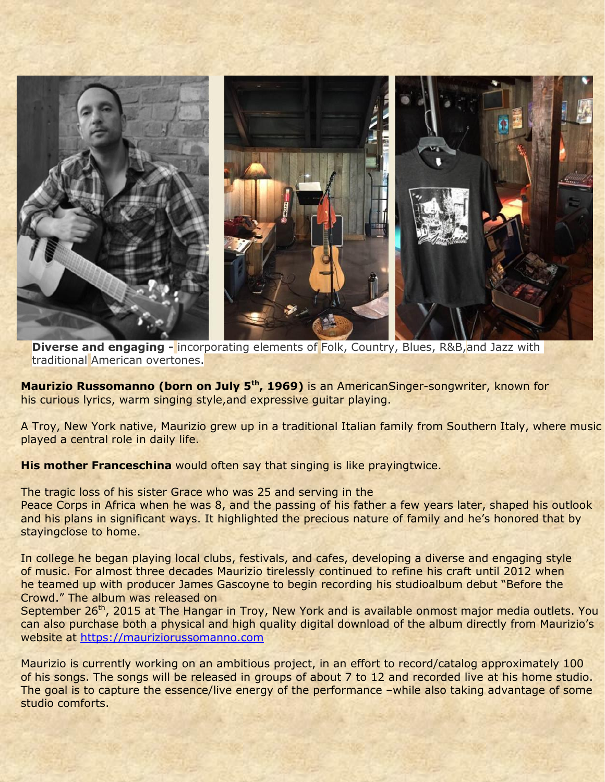

**Diverse and engaging -** incorporating elements of Folk, Country, Blues, R&B, and Jazz with traditional American overtones.

**Maurizio Russomanno (born on July 5th, 1969)** is an AmericanSinger-songwriter, known for his curious lyrics, warm singing style,and expressive guitar playing.

A Troy, New York native, Maurizio grew up in a traditional Italian family from Southern Italy, where music played a central role in daily life.

**His mother Franceschina** would often say that singing is like prayingtwice.

The tragic loss of his sister Grace who was 25 and serving in the

Peace Corps in Africa when he was 8, and the passing of his father a few years later, shaped his outlook and his plans in significant ways. It highlighted the precious nature of family and he's honored that by stayingclose to home.

In college he began playing local clubs, festivals, and cafes, developing a diverse and engaging style of music. For almost three decades Maurizio tirelessly continued to refine his craft until 2012 when he teamed up with producer James Gascoyne to begin recording his studioalbum debut "Before the Crowd." The album was released on

September 26<sup>th</sup>, 2015 at The Hangar in Troy, New York and is available onmost major media outlets. You can also purchase both a physical and high quality digital download of the album directly from Maurizio's website at [https://mauriziorussomanno.com](https://mauriziorussomanno.com/)

Maurizio is currently working on an ambitious project, in an effort to record/catalog approximately 100 of his songs. The songs will be released in groups of about 7 to 12 and recorded live at his home studio. The goal is to capture the essence/live energy of the performance –while also taking advantage of some studio comforts.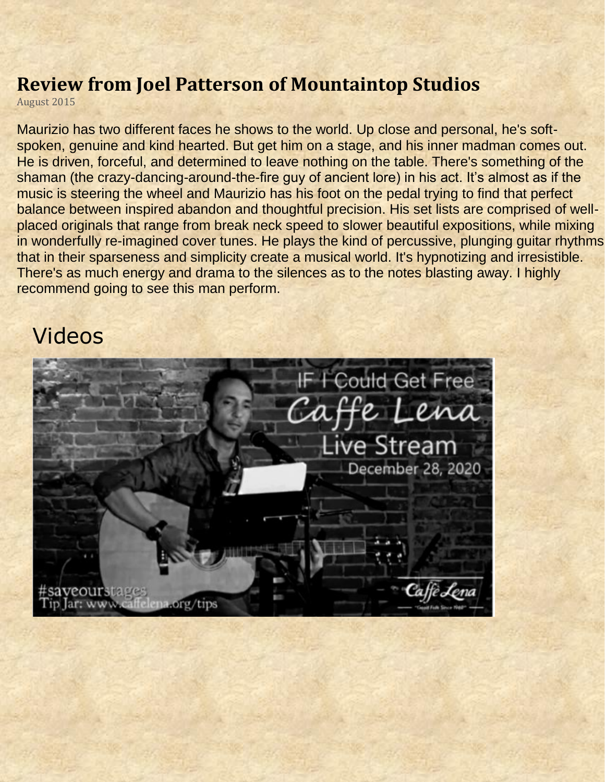## **Review from Joel Patterson of Mountaintop Studios**

August 2015

Maurizio has two different faces he shows to the world. Up close and personal, he's softspoken, genuine and kind hearted. But get him on a stage, and his inner madman comes out. He is driven, forceful, and determined to leave nothing on the table. There's something of the shaman (the crazy-dancing-around-the-fire guy of ancient lore) in his act. It's almost as if the music is steering the wheel and Maurizio has his foot on the pedal trying to find that perfect balance between inspired abandon and thoughtful precision. His set lists are comprised of wellplaced originals that range from break neck speed to slower beautiful expositions, while mixing in wonderfully re-imagined cover tunes. He plays the kind of percussive, plunging guitar rhythms that in their sparseness and simplicity create a musical world. It's hypnotizing and irresistible. There's as much energy and drama to the silences as to the notes blasting away. I highly recommend going to see this man perform.

## Videos